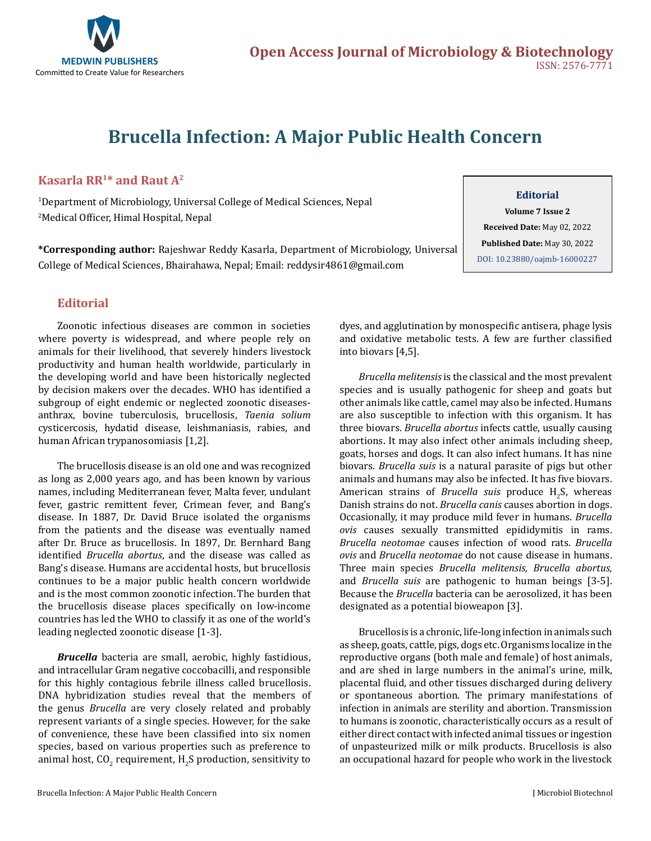

# **Brucella Infection: A Major Public Health Concern**

## **Kasarla RR1\* and Raut A2**

1 Department of Microbiology, Universal College of Medical Sciences, Nepal 2 Medical Officer, Himal Hospital, Nepal

**\*Corresponding author:** Rajeshwar Reddy Kasarla, Department of Microbiology, Universal College of Medical Sciences, Bhairahawa, Nepal; Email: reddysir4861@gmail.com

#### **Editorial**

**Volume 7 Issue 2 Received Date:** May 02, 2022 **Published Date:** May 30, 2022 [DOI: 10.23880/oajmb-16000227](https://doi.org/10.23880/oajmb-16000227)

### **Editorial**

Zoonotic infectious diseases are common in societies where poverty is widespread, and where people rely on animals for their livelihood, that severely hinders livestock productivity and human health worldwide, particularly in the developing world and have been historically neglected by decision makers over the decades. WHO has identified a subgroup of eight endemic or neglected zoonotic diseasesanthrax, bovine tuberculosis, brucellosis, *Taenia solium* cysticercosis, hydatid disease, leishmaniasis, rabies, and human African trypanosomiasis [1,2].

The brucellosis disease is an old one and was recognized as long as 2,000 years ago, and has been known by various names, including Mediterranean fever, Malta fever, undulant fever, gastric remittent fever, Crimean fever, and Bang's disease. In 1887, Dr. David Bruce isolated the organisms from the patients and the disease was eventually named after Dr. Bruce as brucellosis. In 1897, Dr. Bernhard Bang identified *Brucella abortus*, and the disease was called as Bang's disease. Humans are accidental hosts, but brucellosis continues to be a major public health concern worldwide and is the most common zoonotic infection. The burden that the brucellosis disease places specifically on low-income countries has led the WHO to classify it as one of the world's leading neglected zoonotic disease [1-3].

*Brucella* bacteria are small, aerobic, highly fastidious, and intracellular Gram negative coccobacilli, and responsible for this highly contagious febrile illness called brucellosis. DNA hybridization studies reveal that the members of the genus *Brucella* are very closely related and probably represent variants of a single species. However, for the sake of convenience, these have been classified into six nomen species, based on various properties such as preference to animal host, CO<sub>2</sub> requirement, H<sub>2</sub>S production, sensitivity to dyes, and agglutination by monospecific antisera, phage lysis and oxidative metabolic tests. A few are further classified into biovars [4,5].

*Brucella melitensis* is the classical and the most prevalent species and is usually pathogenic for sheep and goats but other animals like cattle, camel may also be infected. Humans are also susceptible to infection with this organism. It has three biovars. *Brucella abortus* infects cattle, usually causing abortions. It may also infect other animals including sheep, goats, horses and dogs. It can also infect humans. It has nine biovars. *Brucella suis* is a natural parasite of pigs but other animals and humans may also be infected. It has five biovars. American strains of *Brucella suis* produce  $H_2S$ , whereas Danish strains do not. *Brucella canis* causes abortion in dogs. Occasionally, it may produce mild fever in humans. *Brucella ovis* causes sexually transmitted epididymitis in rams. *Brucella neotomae* causes infection of wood rats. *Brucella ovis* and *Brucella neotomae* do not cause disease in humans. Three main species *Brucella melitensis, Brucella abortus,*  and *Brucella suis* are pathogenic to human beings [3-5]. Because the *Brucella* bacteria can be aerosolized, it has been designated as a potential bioweapon [3].

Brucellosis is a chronic, life-long infection in animals such as sheep, goats, cattle, pigs, dogs etc. Organisms localize in the reproductive organs (both male and female) of host animals, and are shed in large numbers in the animal's urine, milk, placental fluid, and other tissues discharged during delivery or spontaneous abortion. The primary manifestations of infection in animals are sterility and abortion. Transmission to humans is zoonotic, characteristically occurs as a result of either direct contact with infected animal tissues or ingestion of unpasteurized milk or milk products. Brucellosis is also an occupational hazard for people who work in the livestock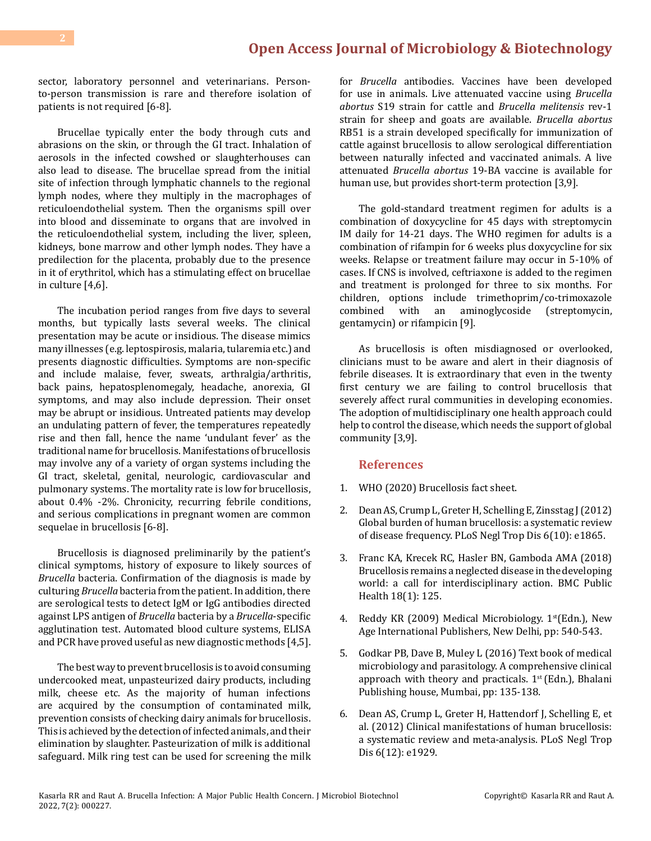sector, laboratory personnel and veterinarians. Personto-person transmission is rare and therefore isolation of patients is not required [6-8].

Brucellae typically enter the body through cuts and abrasions on the skin, or through the GI tract. Inhalation of aerosols in the infected cowshed or slaughterhouses can also lead to disease. The brucellae spread from the initial site of infection through lymphatic channels to the regional lymph nodes, where they multiply in the macrophages of reticuloendothelial system. Then the organisms spill over into blood and disseminate to organs that are involved in the reticuloendothelial system, including the liver, spleen, kidneys, bone marrow and other lymph nodes. They have a predilection for the placenta, probably due to the presence in it of erythritol, which has a stimulating effect on brucellae in culture [4,6].

The incubation period ranges from five days to several months, but typically lasts several weeks. The clinical presentation may be acute or insidious. The disease mimics many illnesses (e.g. leptospirosis, malaria, tularemia etc.) and presents diagnostic difficulties. Symptoms are non-specific and include malaise, fever, sweats, arthralgia/arthritis, back pains, hepatosplenomegaly, headache, anorexia, GI symptoms, and may also include depression. Their onset may be abrupt or insidious. Untreated patients may develop an undulating pattern of fever, the temperatures repeatedly rise and then fall, hence the name 'undulant fever' as the traditional name for brucellosis. Manifestations of brucellosis may involve any of a variety of organ systems including the GI tract, skeletal, genital, neurologic, cardiovascular and pulmonary systems. The mortality rate is low for brucellosis, about 0.4% -2%. Chronicity, recurring febrile conditions, and serious complications in pregnant women are common sequelae in brucellosis [6-8].

Brucellosis is diagnosed preliminarily by the patient's clinical symptoms, history of exposure to likely sources of *Brucella* bacteria. Confirmation of the diagnosis is made by culturing *Brucella* bacteria from the patient. In addition, there are serological tests to detect IgM or IgG antibodies directed against LPS antigen of *Brucella* bacteria by a *Brucella*-specific agglutination test. Automated blood culture systems, ELISA and PCR have proved useful as new diagnostic methods [4,5].

The best way to prevent brucellosis is to avoid consuming undercooked meat, unpasteurized dairy products, including milk, cheese etc. As the majority of human infections are acquired by the consumption of contaminated milk, prevention consists of checking dairy animals for brucellosis. This is achieved by the detection of infected animals, and their elimination by slaughter. Pasteurization of milk is additional safeguard. Milk ring test can be used for screening the milk for *Brucella* antibodies. Vaccines have been developed for use in animals. Live attenuated vaccine using *Brucella abortus* S19 strain for cattle and *Brucella melitensis* rev-1 strain for sheep and goats are available. *Brucella abortus* RB51 is a strain developed specifically for immunization of cattle against brucellosis to allow serological differentiation between naturally infected and vaccinated animals. A live attenuated *Brucella abortus* 19-BA vaccine is available for human use, but provides short-term protection [3,9].

The gold-standard treatment regimen for adults is a combination of doxycycline for 45 days with streptomycin IM daily for 14-21 days. The WHO regimen for adults is a combination of rifampin for 6 weeks plus doxycycline for six weeks. Relapse or treatment failure may occur in 5-10% of cases. If CNS is involved, ceftriaxone is added to the regimen and treatment is prolonged for three to six months. For children, options include trimethoprim/co-trimoxazole<br>combined with an aminoglycoside (streptomycin, aminoglycoside (streptomycin, gentamycin) or rifampicin [9].

As brucellosis is often misdiagnosed or overlooked, clinicians must to be aware and alert in their diagnosis of febrile diseases. It is extraordinary that even in the twenty first century we are failing to control brucellosis that severely affect rural communities in developing economies. The adoption of multidisciplinary one health approach could help to control the disease, which needs the support of global community [3,9].

#### **References**

- 1. [WHO \(2020\) Brucellosis fact sheet.](https://www.who.int/news-room/fact-sheets/detail/brucellosis)
- 2. [Dean AS, Crump L, Greter H, Schelling E, Zinsstag J \(2012\)](https://pubmed.ncbi.nlm.nih.gov/23145195/) [Global burden of human brucellosis: a systematic review](https://pubmed.ncbi.nlm.nih.gov/23145195/) [of disease frequency. PLoS Negl Trop Dis 6\(10\): e1865.](https://pubmed.ncbi.nlm.nih.gov/23145195/)
- 3. [Franc KA, Krecek RC, Hasler BN, Gamboda AMA \(2018\)](https://pubmed.ncbi.nlm.nih.gov/29325516/) [Brucellosis remains a neglected disease in the developing](https://pubmed.ncbi.nlm.nih.gov/29325516/)  [world: a call for interdisciplinary action. BMC Public](https://pubmed.ncbi.nlm.nih.gov/29325516/)  [Health 18\(1\): 125.](https://pubmed.ncbi.nlm.nih.gov/29325516/)
- 4. Reddy KR (2009) Medical Microbiology. 1<sup>st</sup>(Edn.), New Age International Publishers, New Delhi, pp: 540-543.
- 5. Godkar PB, Dave B, Muley L (2016) Text book of medical microbiology and parasitology. A comprehensive clinical approach with theory and practicals.  $1<sup>st</sup>$  (Edn.), Bhalani Publishing house, Mumbai, pp: 135-138.
- 6. [Dean AS, Crump L, Greter H, Hattendorf J, Schelling E, et](https://pubmed.ncbi.nlm.nih.gov/23236528/)  [al. \(2012\) Clinical manifestations of human brucellosis:](https://pubmed.ncbi.nlm.nih.gov/23236528/) [a systematic review and meta-analysis. PLoS Negl Trop](https://pubmed.ncbi.nlm.nih.gov/23236528/)  [Dis 6\(12\): e1929.](https://pubmed.ncbi.nlm.nih.gov/23236528/)